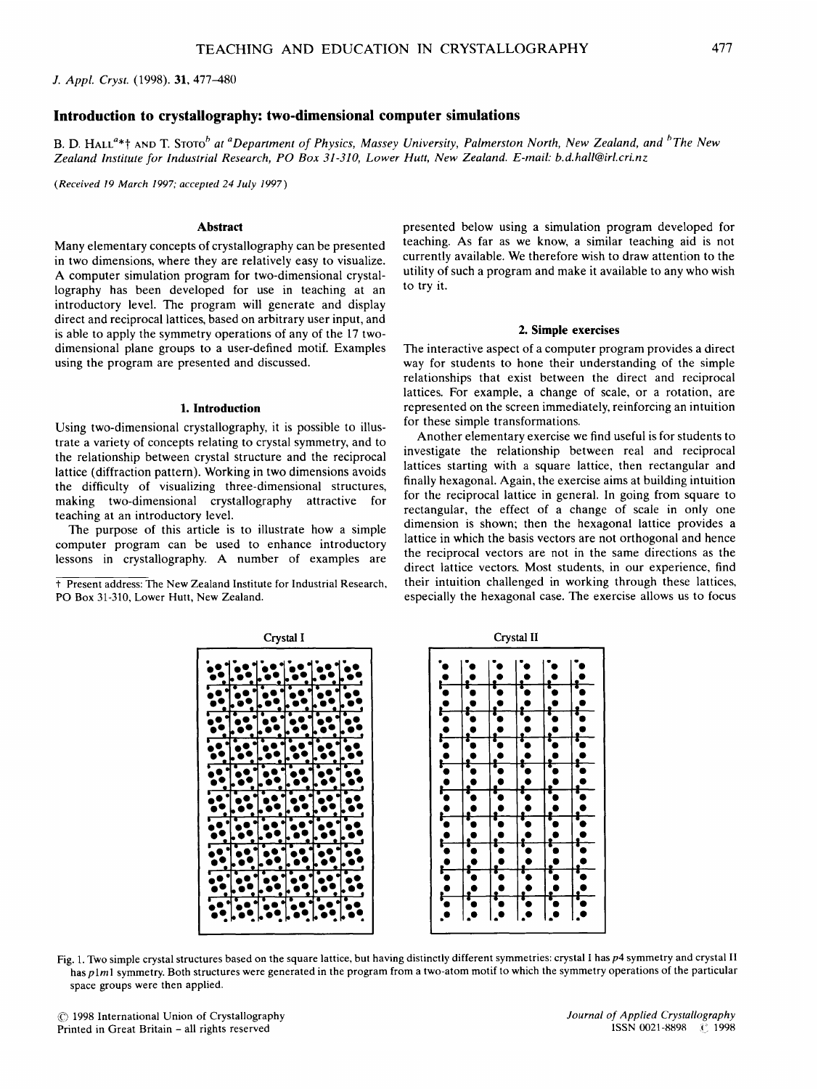*J. Appl. Cryst.* (1998). 31, 477-480

# **Introduction to crystallography: two-dimensional computer simulations**

B. D. HALL<sup>a\*†</sup> AND T. STOTO<sup>b</sup> at <sup>a</sup>Department of Physics, Massey University, Palmerston North, New Zealand, and <sup>b</sup>The New *Zealand Institute for Industrial Research, PO Box 31-310, Lower Hutt, New Zealand. E-mail: b.d.hall@irl.cri.nz* 

*(Received 19 March 1997; accepted 24 July 1997)* 

### **Abstract**

Many elementary concepts of crystallography can be presented in two dimensions, where they are relatively easy to visualize. A computer simulation program for two-dimensional crystallography has been developed for use in teaching at an introductory level. The program will generate and display direct and reciprocal lattices, based on arbitrary user input, and is able to apply the symmetry operations of any of the 17 twodimensional plane groups to a user-defined motif. Examples using the program are presented and discussed.

### **1. Introduction**

Using two-dimensional crystallography, it is possible to illustrate a variety of concepts relating to crystal symmetry, and to the relationship between crystal structure and the reciprocal lattice (diffraction pattern). Working in two dimensions avoids the difficulty of visualizing three-dimensional structures, making two-dimensional crystallography attractive for teaching at an introductory level.

The purpose of this article is to illustrate how a simple computer program can be used to enhance introductory lessons in crystallography. A number of examples are

t Present address: The New Zealand Institute for Industrial Research, PO Box 31-310, Lower Hutt, New Zealand.

presented below using a simulation program developed for teaching. As far as we know, a similar teaching aid is not currently available. We therefore wish to draw attention to the utility of such a program and make it available to any who wish to try it.

#### **2. Simple exercises**

The interactive aspect of a computer program provides a direct way for students to hone their understanding of the simple relationships that exist between the direct and reciprocal lattices. For example, a change of scale, or a rotation, are represented on the screen immediately, reinforcing an intuition for these simple transformations.

Another elementary exercise we find useful is for students to investigate the relationship between real and reciprocal lattices starting with a square lattice, then rectangular and finally hexagonal. Again, the exercise aims at building intuition for the reciprocal lattice in general. In going from square to rectangular, the effect of a change of scale in only one dimension is shown; then the hexagonal lattice provides a lattice in which the basis vectors are not orthogonal and hence the reciprocal vectors are not in the same directions as the direct lattice vectors. Most students, in our experience, find their intuition challenged in working through these lattices, especially the hexagonal case. The exercise allows us to focus



Fig. 1. Two simple crystal structures based on the square lattice, but having distinctly different symmetries: crystal I has p4 symmetry and crystal II has *plml* symmetry. Both structures were generated in the program from a two-atom motif to which the symmetry operations of the particular space groups were then applied.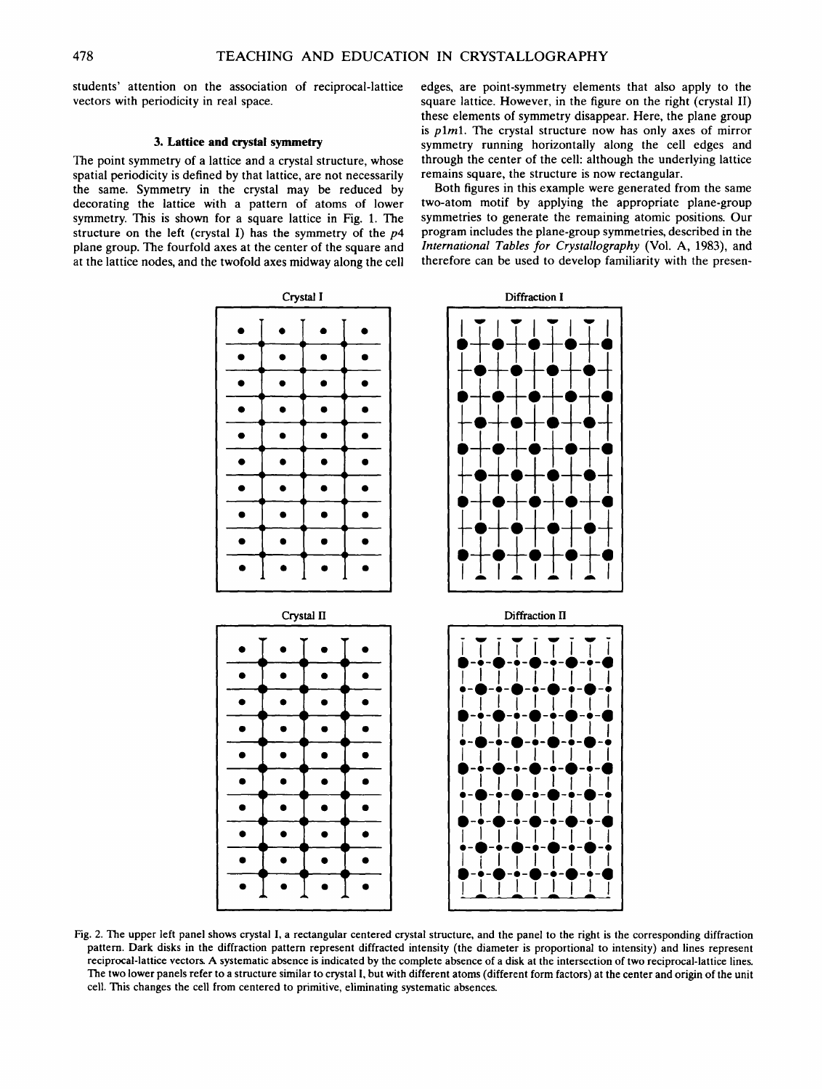students' attention on the association of reciprocal-lattice vectors with periodicity in real space.

## 3. Lattice and crystal symmetry

The point symmetry of a lattice and a crystal structure, whose spatial periodicity is defined by that lattice, are not necessarily the same. Symmetry in the crystal may be reduced by decorating the lattice with a pattern of atoms of lower symmetry. This is shown for a square lattice in Fig. 1. The structure on the left (crystal I) has the symmetry of the  $p4$ plane group. The fourfold axes at the center of the square and at the lattice nodes, and the twofold axes midway along the cell edges, are point-symmetry elements that also apply to the square lattice. However, in the figure on the right (crystal II) these elements of symmetry disappear. Here, the plane group is *plml. The* crystal structure now has only axes of mirror symmetry running horizontally along the cell edges and through the center of the cell: although the underlying lattice remains square, the structure is now rectangular.

Both figures in this example were generated from the same two-atom motif by applying the appropriate plane-group symmetries to generate the remaining atomic positions. Our program includes the plane-group symmetries, described in the *International Tables for Crystallography* (Vol. A, 1983), and therefore can be used to develop familiarity with the presen-



Fig. 2. The upper left panel shows crystal I, a rectangular centered crystal structure, and the panel to the right is the corresponding diffraction pattern. Dark disks in the diffraction pattern represent diffracted intensity (the diameter is proportional to intensity) and lines represent reciprocal-lattice vectors A systematic absence is indicated by the complete absence of a disk at the intersection of two reciprocal-lattice lines. The two lower panels refer to a structure similar to crystal I, but with different atoms (different form factors) at the center and origin of the unit cell. This changes the cell from centered to primitive, eliminating systematic absences.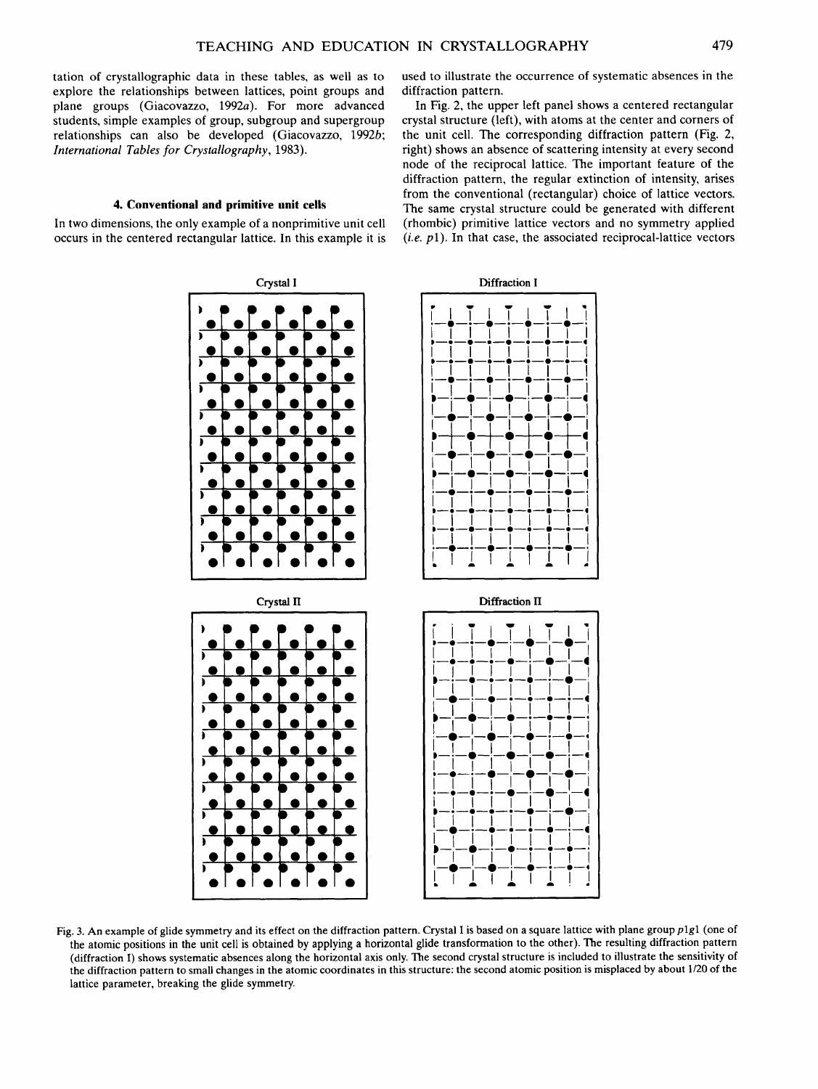tation of crystallographic data in these tables, as well as to explore the relationships between lattices, point groups and plane groups (Giacovazzo, 1992a). For more advanced students, simple examples of group, subgroup and supergroup relationships can also be developed (Giacovazzo, 1992b; *International Tables for Crystallography,* 1983).

# **4. Conventional and primitive unit cells**

In two dimensions, the only example of a nonprimitive unit cell occurs in the centered rectangular lattice. In this example it is used to illustrate the occurrence of systematic absences in the diffraction pattern.

In Fig. 2, the upper left panel shows a centered rectangular crystal structure (left), with atoms at the center and corners of the unit cell. The corresponding diffraction pattern (Fig. 2, right) shows an absence of scattering intensity at every second node of the reciprocal lattice. The important feature of the diffraction pattern, the regular extinction of intensity, arises from the conventional (rectangular) choice of lattice vectors. The same crystal structure could be generated with different (rhombic) primitive lattice vectors and no symmetry applied *(i.e.* pl). In that case, the associated reciprocal-lattice vectors



Fig. 3. An example of glide symmetry and its effect on the diffraction pattern. Crystal I is based on a square lattice with plane group *plgl* (one of the atomic positions in the unit cell is obtained by applying a horizontal glide transformation to the other). The resulting diffraction pattern (diffraction I) shows systematic absences along the horizontal axis only. The second crystal structure is included to illustrate the sensitivity of the diffraction pattern to small changes in the atomic coordinates in this structure: the second atomic position is misplaced by about 1/20 of the lattice parameter, breaking the glide symmetry.